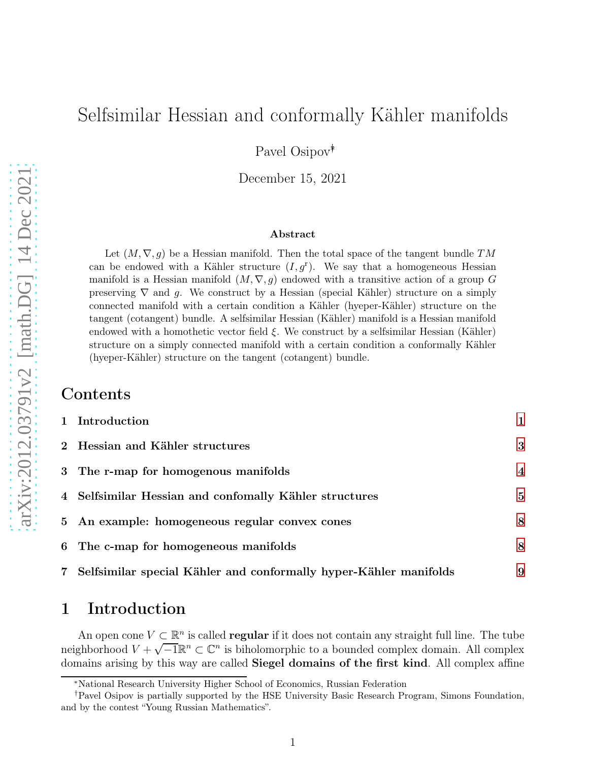# Selfsimilar Hessian and conformally Kähler manifolds

Pavel Osipov∗†

December 15, 2021

#### Abstract

Let  $(M, \nabla, g)$  be a Hessian manifold. Then the total space of the tangent bundle TM can be endowed with a Kähler structure  $(I, g<sup>r</sup>)$ . We say that a homogeneous Hessian manifold is a Hessian manifold  $(M, \nabla, g)$  endowed with a transitive action of a group G preserving  $\nabla$  and g. We construct by a Hessian (special Kähler) structure on a simply connected manifold with a certain condition a Kähler (hyeper-Kähler) structure on the tangent (cotangent) bundle. A selfsimilar Hessian (Kähler) manifold is a Hessian manifold endowed with a homothetic vector field  $\xi$ . We construct by a selfsimilar Hessian (Kähler) structure on a simply connected manifold with a certain condition a conformally Kähler (hyeper-Kähler) structure on the tangent (cotangent) bundle.

### Contents

|                | 1 Introduction                                                    |                |
|----------------|-------------------------------------------------------------------|----------------|
|                | 2 Hessian and Kähler structures                                   | 3              |
|                | 3 The r-map for homogenous manifolds                              | $\overline{4}$ |
|                | 4 Selfsimilar Hessian and confomally Kähler structures            | 5              |
|                | 5 An example: homogeneous regular convex cones                    | 8              |
|                | 6 The c-map for homogeneous manifolds                             | 8              |
| $7\phantom{.}$ | Selfsimilar special Kähler and conformally hyper-Kähler manifolds | 9              |

## <span id="page-0-0"></span>1 Introduction

An open cone  $V \subseteq \mathbb{R}^n$  is called **regular** if it does not contain any straight full line. The tube neighborhood  $V + \sqrt{-1}\mathbb{R}^n \subset \mathbb{C}^n$  is biholomorphic to a bounded complex domain. All complex domains arising by this way are called **Siegel domains of the first kind**. All complex affine

<sup>∗</sup>National Research University Higher School of Economics, Russian Federation

<sup>†</sup>Pavel Osipov is partially supported by the HSE University Basic Research Program, Simons Foundation, and by the contest "Young Russian Mathematics".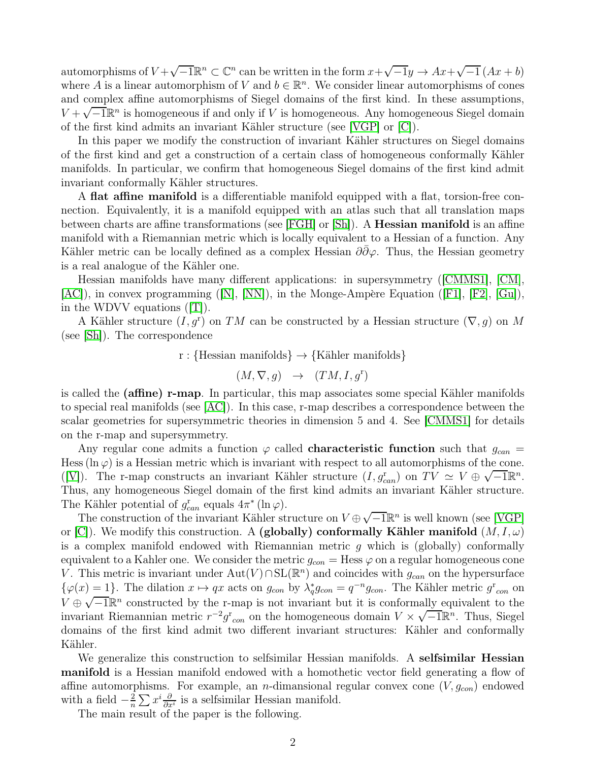automorphisms of  $V + \sqrt{-1}\mathbb{R}^n \subset \mathbb{C}^n$  can be written in the form  $x + \sqrt{-1}y \to Ax + \sqrt{-1}(Ax + b)$ where A is a linear automorphism of V and  $b \in \mathbb{R}^n$ . We consider linear automorphisms of cones and complex affine automorphisms of Siegel domains of the first kind. In these assumptions,  $V + \sqrt{-1}\mathbb{R}^n$  is homogeneous if and only if V is homogeneous. Any homogeneous Siegel domain of the first kind admits an invariant K¨ahler structure (see [\[VGP\]](#page-10-0) or [\[C\]](#page-9-0)).

In this paper we modify the construction of invariant Kähler structures on Siegel domains of the first kind and get a construction of a certain class of homogeneous conformally Kähler manifolds. In particular, we confirm that homogeneous Siegel domains of the first kind admit invariant conformally Kähler structures.

A flat affine manifold is a differentiable manifold equipped with a flat, torsion-free connection. Equivalently, it is a manifold equipped with an atlas such that all translation maps between charts are affine transformations (see [\[FGH\]](#page-10-1) or [\[Sh\]](#page-10-2)). A Hessian manifold is an affine manifold with a Riemannian metric which is locally equivalent to a Hessian of a function. Any Kähler metric can be locally defined as a complex Hessian  $\partial \bar{\partial} \varphi$ . Thus, the Hessian geometry is a real analogue of the Kähler one.

Hessian manifolds have many different applications: in supersymmetry ([\[CMMS1\]](#page-9-1), [\[CM\]](#page-9-2),  $|AC|$ ), in convex programming  $(|N|, |NN|)$ , in the Monge-Ampère Equation  $(|F1|, |F2|, |Gu|)$ , in the WDVV equations ([\[T\]](#page-10-7)).

A Kähler structure  $(I, g^r)$  on TM can be constructed by a Hessian structure  $(\nabla, g)$  on M (see [\[Sh\]](#page-10-2)). The correspondence

r : {Hessian manifolds}  $\rightarrow$  {Kähler manifolds}

$$
(M,\nabla,g) \quad \rightarrow \quad (TM,I,g^{\text{r}})
$$

is called the (affine) r-map. In particular, this map associates some special Kähler manifolds to special real manifolds (see [\[AC\]](#page-9-3)). In this case, r-map describes a correspondence between the scalar geometries for supersymmetric theories in dimension 5 and 4. See [\[CMMS1\]](#page-9-1) for details on the r-map and supersymmetry.

Any regular cone admits a function  $\varphi$  called **characteristic function** such that  $g_{can}$  = Hess ( $\ln \varphi$ ) is a Hessian metric which is invariant with respect to all automorphisms of the cone. ([\[V\]](#page-10-8)). The r-map constructs an invariant Kähler structure  $(I, g_{can}^r)$  on  $TV \simeq V \oplus \sqrt{-1}\mathbb{R}^n$ . Thus, any homogeneous Siegel domain of the first kind admits an invariant Kähler structure. The Kähler potential of  $g_{can}^{\rm r}$  equals  $4\pi^*$  (ln  $\varphi$ ).

The construction of the invariant Kähler structure on  $V \oplus \sqrt{-1}\mathbb{R}^n$  is well known (see [\[VGP\]](#page-10-0) or [\[C\]](#page-9-0)). We modify this construction. A (globally) conformally Kähler manifold  $(M, I, \omega)$ is a complex manifold endowed with Riemannian metric g which is (globally) conformally equivalent to a Kahler one. We consider the metric  $g_{con}$  = Hess  $\varphi$  on a regular homogeneous cone V. This metric is invariant under  $\text{Aut}(V) \cap \text{SL}(\mathbb{R}^n)$  and coincides with  $g_{can}$  on the hypersurface  $\{\varphi(x) = 1\}$ . The dilation  $x \mapsto qx$  acts on  $g_{con}$  by  $\lambda_q^*$  $_q^*g_{con} = q^{-n}g_{con}$ . The Kähler metric  $g_{con}^r$  on  $V \oplus \sqrt{-1}\mathbb{R}^n$  constructed by the r-map is not invariant but it is conformally equivalent to the invariant Riemannian metric  $r^{-2}g_{\rm con}^{\rm r}$  on the homogeneous domain  $V \times \sqrt{-1}\mathbb{R}^n$ . Thus, Siegel domains of the first kind admit two different invariant structures: Kähler and conformally Kähler.

We generalize this construction to selfsimilar Hessian manifolds. A selfsimilar Hessian manifold is a Hessian manifold endowed with a homothetic vector field generating a flow of affine automorphisms. For example, an *n*-dimansional regular convex cone  $(V, g_{con})$  endowed with a field  $-\frac{2}{n}$  $\frac{2}{n} \sum x^i \frac{\partial}{\partial x^i}$  is a selfsimilar Hessian manifold.

The main result of the paper is the following.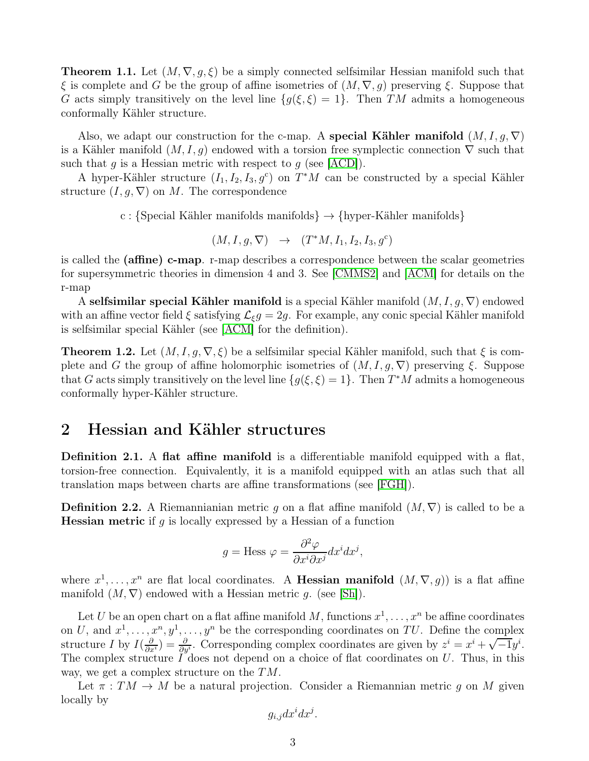**Theorem 1.1.** Let  $(M, \nabla, g, \xi)$  be a simply connected selfsimilar Hessian manifold such that  $\xi$  is complete and G be the group of affine isometries of  $(M, \nabla, g)$  preserving  $\xi$ . Suppose that G acts simply transitively on the level line  $\{g(\xi,\xi)=1\}$ . Then TM admits a homogeneous conformally Kähler structure.

Also, we adapt our construction for the c-map. A special Kähler manifold  $(M, I, g, \nabla)$ is a Kähler manifold  $(M, I, g)$  endowed with a torsion free symplectic connection  $\nabla$  such that such that g is a Hessian metric with respect to g (see [\[ACD\]](#page-9-5)).

A hyper-Kähler structure  $(I_1, I_2, I_3, g^c)$  on  $T^*M$  can be constructed by a special Kähler structure  $(I, g, \nabla)$  on M. The correspondence

c : {Special Kähler manifolds manifolds}  $\rightarrow$  {hyper-Kähler manifolds}

 $(M, I, g, \nabla) \rightarrow (T^*M, I_1, I_2, I_3, g^c)$ 

is called the (affine) c-map. r-map describes a correspondence between the scalar geometries for supersymmetric theories in dimension 4 and 3. See [\[CMMS2\]](#page-9-6) and [\[ACM\]](#page-9-7) for details on the r-map

A selfsimilar special Kähler manifold is a special Kähler manifold  $(M, I, g, \nabla)$  endowed with an affine vector field  $\xi$  satisfying  $\mathcal{L}_{\xi}g = 2g$ . For example, any conic special Kähler manifold is selfsimilar special Kähler (see [\[ACM\]](#page-9-7) for the definition).

**Theorem 1.2.** Let  $(M, I, q, \nabla, \xi)$  be a selfsimilar special Kähler manifold, such that  $\xi$  is complete and G the group of affine holomorphic isometries of  $(M, I, g, \nabla)$  preserving  $\xi$ . Suppose that G acts simply transitively on the level line  $\{g(\xi,\xi)=1\}$ . Then  $T^*M$  admits a homogeneous conformally hyper-Kähler structure.

## <span id="page-2-0"></span>2 Hessian and Kähler structures

Definition 2.1. A flat affine manifold is a differentiable manifold equipped with a flat, torsion-free connection. Equivalently, it is a manifold equipped with an atlas such that all translation maps between charts are affine transformations (see [\[FGH\]](#page-10-1)).

**Definition 2.2.** A Riemannianian metric g on a flat affine manifold  $(M, \nabla)$  is called to be a **Hessian metric** if g is locally expressed by a Hessian of a function

$$
g = \text{Hess }\varphi = \frac{\partial^2 \varphi}{\partial x^i \partial x^j} dx^i dx^j,
$$

where  $x^1, \ldots, x^n$  are flat local coordinates. A **Hessian manifold**  $(M, \nabla, g)$  is a flat affine manifold  $(M, \nabla)$  endowed with a Hessian metric q. (see [\[Sh\]](#page-10-2)).

Let U be an open chart on a flat affine manifold M, functions  $x^1, \ldots, x^n$  be affine coordinates on U, and  $x^1, \ldots, x^n, y^1, \ldots, y^n$  be the corresponding coordinates on TU. Define the complex structure I by  $I(\frac{\partial}{\partial x^i}) = \frac{\partial}{\partial y^i}$ . Corresponding complex coordinates are given by  $z^i = x^i + \sqrt{-1}y^i$ . The complex structure  $\tilde{I}^{\prime}$  does not depend on a choice of flat coordinates on U. Thus, in this way, we get a complex structure on the TM.

Let  $\pi : TM \to M$  be a natural projection. Consider a Riemannian metric g on M given locally by

$$
g_{i,j}dx^idx^j.
$$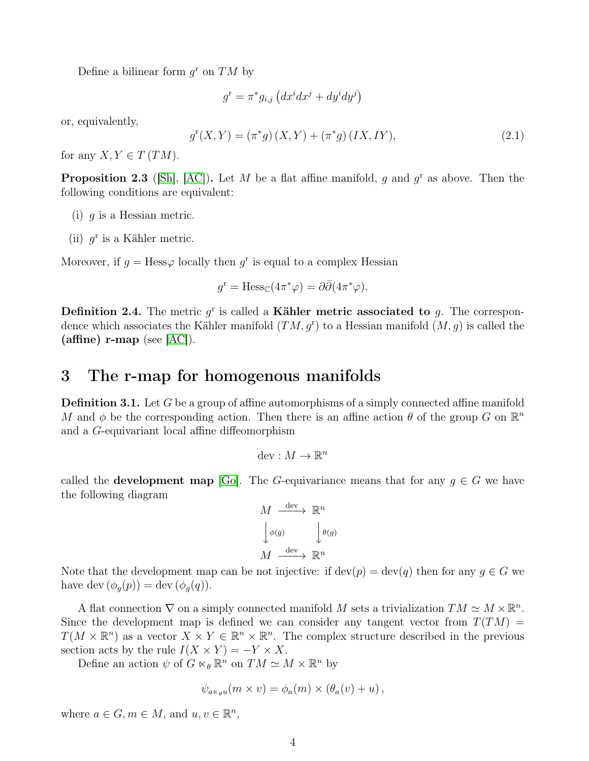Define a bilinear form  $g^{\text{r}}$  on  $TM$  by

$$
g^{\mathrm{r}} = \pi^* g_{i,j} \left( dx^i dx^j + dy^i dy^j \right)
$$

or, equivalently,

<span id="page-3-2"></span>
$$
g^{r}(X,Y) = (\pi^{*}g)(X,Y) + (\pi^{*}g)(IX, IY),
$$
\n(2.1)

for any  $X, Y \in T(TM)$ .

<span id="page-3-1"></span>**Proposition 2.3** ([\[Sh\]](#page-10-2), [\[AC\]](#page-9-3)). Let M be a flat affine manifold, g and  $g^r$  as above. Then the following conditions are equivalent:

- (i)  $q$  is a Hessian metric.
- (ii)  $g^r$  is a Kähler metric.

Moreover, if  $g = \text{Hess}\varphi$  locally then  $g^r$  is equal to a complex Hessian

$$
g^{\mathbf{r}} = \text{Hess}_{\mathbb{C}}(4\pi^*\varphi) = \partial\bar{\partial}(4\pi^*\varphi).
$$

**Definition 2.4.** The metric  $g^r$  is called a **Kähler metric associated to** g. The correspondence which associates the Kähler manifold  $(TM, g<sup>r</sup>)$  to a Hessian manifold  $(M, g)$  is called the (affine)  $r$ -map (see  $[AC]$ ).

## <span id="page-3-0"></span>3 The r-map for homogenous manifolds

**Definition 3.1.** Let G be a group of affine automorphisms of a simply connected affine manifold M and  $\phi$  be the corresponding action. Then there is an affine action  $\theta$  of the group G on  $\mathbb{R}^n$ and a G-equivariant local affine diffeomorphism

$$
\mathrm{dev}:M\to\mathbb{R}^n
$$

called the **development map** [\[Go\]](#page-10-9). The G-equivariance means that for any  $g \in G$  we have the following diagram

$$
M \xrightarrow{\text{dev}} \mathbb{R}^n
$$

$$
\downarrow \phi(g) \qquad \qquad \downarrow \theta(g)
$$

$$
M \xrightarrow{\text{dev}} \mathbb{R}^n
$$

Note that the development map can be not injective: if  $dev(p) = dev(q)$  then for any  $q \in G$  we have dev  $(\phi_g(p)) = \text{dev}(\phi_g(q)).$ 

A flat connection  $\nabla$  on a simply connected manifold M sets a trivialization  $TM \simeq M \times \mathbb{R}^n$ . Since the development map is defined we can consider any tangent vector from  $T(TM)$  $T(M \times \mathbb{R}^n)$  as a vector  $X \times Y \in \mathbb{R}^n \times \mathbb{R}^n$ . The complex structure described in the previous section acts by the rule  $I(X \times Y) = -Y \times X$ .

Define an action  $\psi$  of  $G \ltimes_{\theta} \mathbb{R}^n$  on  $TM \simeq M \times \mathbb{R}^n$  by

$$
\psi_{a\ltimes_{\theta} u}(m\times v)=\phi_a(m)\times (\theta_a(v)+u)\,,
$$

where  $a \in G, m \in M$ , and  $u, v \in \mathbb{R}^n$ ,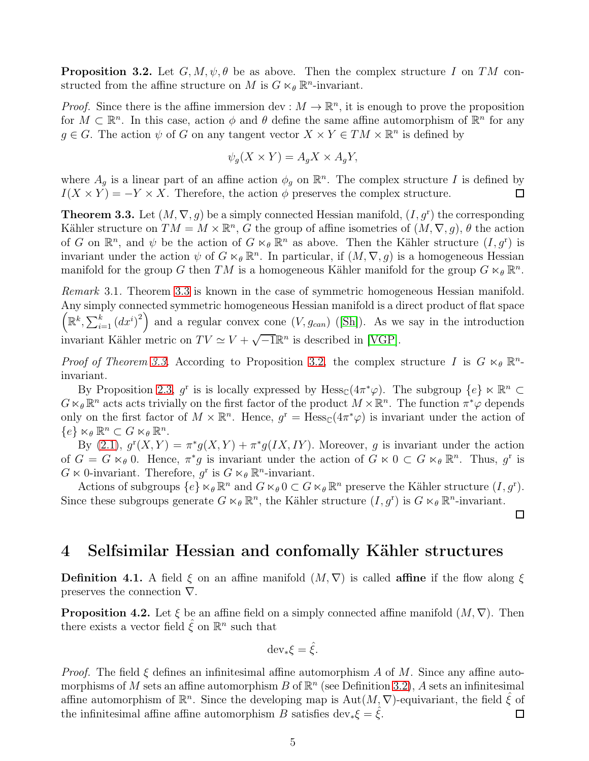<span id="page-4-2"></span>**Proposition 3.2.** Let  $G, M, \psi, \theta$  be as above. Then the complex structure I on TM constructed from the affine structure on M is  $G \ltimes_{\theta} \mathbb{R}^n$ -invariant.

*Proof.* Since there is the affine immersion dev :  $M \to \mathbb{R}^n$ , it is enough to prove the proposition for  $M \subset \mathbb{R}^n$ . In this case, action  $\phi$  and  $\theta$  define the same affine automorphism of  $\mathbb{R}^n$  for any  $g \in G$ . The action  $\psi$  of G on any tangent vector  $X \times Y \in TM \times \mathbb{R}^n$  is defined by

$$
\psi_g(X \times Y) = A_g X \times A_g Y,
$$

where  $A_g$  is a linear part of an affine action  $\phi_g$  on  $\mathbb{R}^n$ . The complex structure I is defined by  $I(X \times Y) = -Y \times X$ . Therefore, the action  $\phi$  preserves the complex structure.  $\Box$ 

<span id="page-4-1"></span>**Theorem 3.3.** Let  $(M, \nabla, g)$  be a simply connected Hessian manifold,  $(I, g^{\text{r}})$  the corresponding Kähler structure on  $TM = M \times \mathbb{R}^n$ , G the group of affine isometries of  $(M, \nabla, g)$ ,  $\theta$  the action of G on  $\mathbb{R}^n$ , and  $\psi$  be the action of  $G \ltimes_{\theta} \mathbb{R}^n$  as above. Then the Kähler structure  $(I, g^{\mathsf{r}})$  is invariant under the action  $\psi$  of  $G \ltimes_{\theta} \mathbb{R}^{n}$ . In particular, if  $(M, \nabla, g)$  is a homogeneous Hessian manifold for the group G then TM is a homogeneous Kähler manifold for the group  $G \ltimes_{\theta} \mathbb{R}^n$ .

Remark 3.1. Theorem [3.3](#page-4-1) is known in the case of symmetric homogeneous Hessian manifold. Any simply connected symmetric homogeneous Hessian manifold is a direct product of flat space  $\left(\mathbb{R}^k,\sum_{i=1}^k (dx^i)^2\right)$  and a regular convex cone  $(V,g_{can})$  ([\[Sh\]](#page-10-2)). As we say in the introduction invariant Kähler metric on  $TV \simeq V + \sqrt{-1}\mathbb{R}^n$  is described in [\[VGP\]](#page-10-0).

*Proof of Theorem [3.3.](#page-4-1)* According to Proposition [3.2,](#page-4-2) the complex structure I is  $G \ltimes_{\theta} \mathbb{R}^{n}$ invariant.

By Proposition [2.3,](#page-3-1)  $g^r$  is is locally expressed by Hess $\mathcal{L}(4\pi^*\varphi)$ . The subgroup  $\{e\} \ltimes \mathbb{R}^n$  $G \ltimes_{\theta} \mathbb{R}^n$  acts acts trivially on the first factor of the product  $M \times \mathbb{R}^n$ . The function  $\pi^*\varphi$  depends only on the first factor of  $M \times \mathbb{R}^n$ . Hence,  $g^r = \text{Hess}_{\mathbb{C}}(4\pi^*\varphi)$  is invariant under the action of  ${e} \times_{\theta} \mathbb{R}^n \subset G \ltimes_{\theta} \mathbb{R}^n$ .

By [\(2.1\)](#page-3-2),  $g^{r}(X,Y) = \pi^{*}g(X,Y) + \pi^{*}g(IX,IY)$ . Moreover, g is invariant under the action of  $G = G \ltimes_{\theta} 0$ . Hence,  $\pi^*g$  is invariant under the action of  $G \ltimes 0 \subset G \ltimes_{\theta} \mathbb{R}^n$ . Thus,  $g^r$  is  $G \ltimes 0$ -invariant. Therefore,  $g^r$  is  $G \ltimes_{\theta} \mathbb{R}^n$ -invariant.

Actions of subgroups  $\{e\} \ltimes_{\theta} \mathbb{R}^n$  and  $G \ltimes_{\theta} 0 \subset G \ltimes_{\theta} \mathbb{R}^n$  preserve the Kähler structure  $(I, g^r)$ . Since these subgroups generate  $G \ltimes_{\theta} \mathbb{R}^n$ , the Kähler structure  $(I, g^{\mathbf{r}})$  is  $G \ltimes_{\theta} \mathbb{R}^n$ -invariant.

#### $\Box$

## <span id="page-4-0"></span>4 Selfsimilar Hessian and confomally Kähler structures

**Definition 4.1.** A field  $\xi$  on an affine manifold  $(M, \nabla)$  is called **affine** if the flow along  $\xi$ preserves the connection ∇.

<span id="page-4-3"></span>**Proposition 4.2.** Let  $\xi$  be an affine field on a simply connected affine manifold  $(M, \nabla)$ . Then there exists a vector field  $\hat{\xi}$  on  $\mathbb{R}^n$  such that

$$
\operatorname{dev}_*\xi = \hat{\xi}.
$$

*Proof.* The field  $\xi$  defines an infinitesimal affine automorphism A of M. Since any affine automorphisms of M sets an affine automorphism B of  $\mathbb{R}^n$  (see Definition [3.2\)](#page-4-2), A sets an infinitesimal affine automorphism of  $\mathbb{R}^n$ . Since the developing map is  $\mathrm{Aut}(M,\nabla)$ -equivariant, the field  $\hat{\xi}$  of the infinitesimal affine affine automorphism B satisfies dev<sub>\*</sub> $\xi = \xi$ .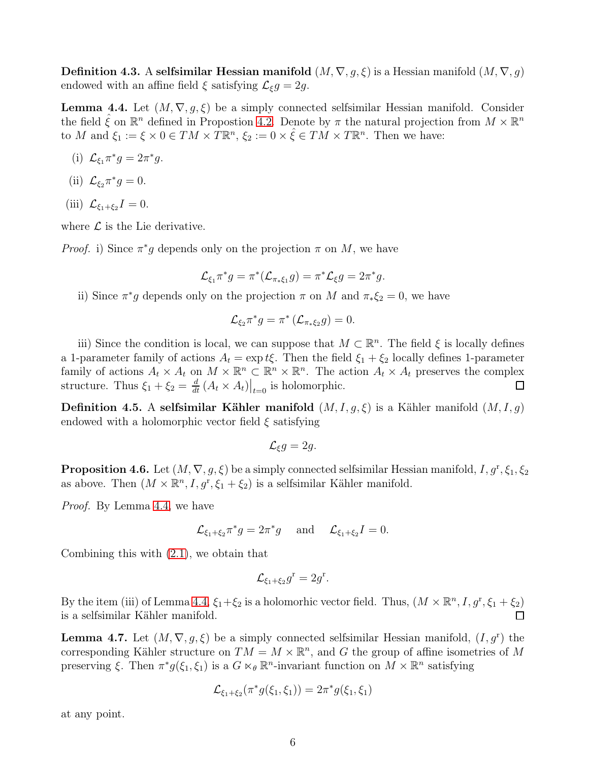**Definition 4.3.** A selfsimilar Hessian manifold  $(M, \nabla, g, \xi)$  is a Hessian manifold  $(M, \nabla, g)$ endowed with an affine field  $\xi$  satisfying  $\mathcal{L}_{\xi}g = 2g$ .

<span id="page-5-0"></span>**Lemma 4.4.** Let  $(M, \nabla, g, \xi)$  be a simply connected selfsimilar Hessian manifold. Consider the field  $\hat{\xi}$  on  $\mathbb{R}^n$  defined in Propostion [4.2.](#page-4-3) Denote by  $\pi$  the natural projection from  $M \times \mathbb{R}^n$ to M and  $\xi_1 := \xi \times 0 \in TM \times T\mathbb{R}^n$ ,  $\xi_2 := 0 \times \hat{\xi} \in TM \times T\mathbb{R}^n$ . Then we have:

- (i)  $\mathcal{L}_{\xi_1} \pi^* g = 2\pi^* g.$
- (ii)  $\mathcal{L}_{\xi_2} \pi^* g = 0.$
- (iii)  $\mathcal{L}_{\xi_1+\xi_2}I = 0.$

where  $\mathcal L$  is the Lie derivative.

*Proof.* i) Since  $\pi^*g$  depends only on the projection  $\pi$  on M, we have

$$
\mathcal{L}_{\xi_1}\pi^*g = \pi^*(\mathcal{L}_{\pi*\xi_1}g) = \pi^*\mathcal{L}_\xi g = 2\pi^*g.
$$

ii) Since  $\pi^*g$  depends only on the projection  $\pi$  on M and  $\pi_*\xi_2 = 0$ , we have

$$
\mathcal{L}_{\xi_2}\pi^*g=\pi^*\left(\mathcal{L}_{\pi_*\xi_2}g\right)=0.
$$

iii) Since the condition is local, we can suppose that  $M \subset \mathbb{R}^n$ . The field  $\xi$  is locally defines a 1-parameter family of actions  $A_t = \exp t\xi$ . Then the field  $\xi_1 + \xi_2$  locally defines 1-parameter family of actions  $A_t \times A_t$  on  $M \times \mathbb{R}^n \subset \mathbb{R}^n \times \mathbb{R}^n$ . The action  $A_t \times A_t$  preserves the complex structure. Thus  $\xi_1 + \xi_2 = \frac{d}{dt} (A_t \times A_t)|_{t=0}$  is holomorphic.

**Definition 4.5.** A selfsimilar Kähler manifold  $(M, I, g, \xi)$  is a Kähler manifold  $(M, I, g)$ endowed with a holomorphic vector field  $\xi$  satisfying

$$
\mathcal{L}_{\xi}g=2g.
$$

**Proposition 4.6.** Let  $(M, \nabla, g, \xi)$  be a simply connected selfsimilar Hessian manifold,  $I, g^r, \xi_1, \xi_2$ as above. Then  $(M \times \mathbb{R}^n, I, g^r, \xi_1 + \xi_2)$  is a selfsimilar Kähler manifold.

Proof. By Lemma [4.4,](#page-5-0) we have

$$
\mathcal{L}_{\xi_1+\xi_2}\pi^*g=2\pi^*g\quad\text{and}\quad\mathcal{L}_{\xi_1+\xi_2}I=0.
$$

Combining this with [\(2.1\)](#page-3-2), we obtain that

$$
\mathcal{L}_{\xi_1+\xi_2}g^{\mathrm{r}}=2g^{\mathrm{r}}.
$$

By the item (iii) of Lemma [4.4,](#page-5-0)  $\xi_1 + \xi_2$  is a holomorhic vector field. Thus,  $(M \times \mathbb{R}^n, I, g^r, \xi_1 + \xi_2)$ is a selfsimilar Kähler manifold.  $\Box$ 

<span id="page-5-1"></span>**Lemma 4.7.** Let  $(M, \nabla, g, \xi)$  be a simply connected selfsimilar Hessian manifold,  $(I, g^{\text{r}})$  the corresponding Kähler structure on  $TM = M \times \mathbb{R}^n$ , and G the group of affine isometries of M preserving  $\xi$ . Then  $\pi^* g(\xi_1, \xi_1)$  is a  $G \ltimes_{\theta} \mathbb{R}^n$ -invariant function on  $M \times \mathbb{R}^n$  satisfying

$$
\mathcal{L}_{\xi_1+\xi_2}(\pi^*g(\xi_1,\xi_1)) = 2\pi^*g(\xi_1,\xi_1)
$$

at any point.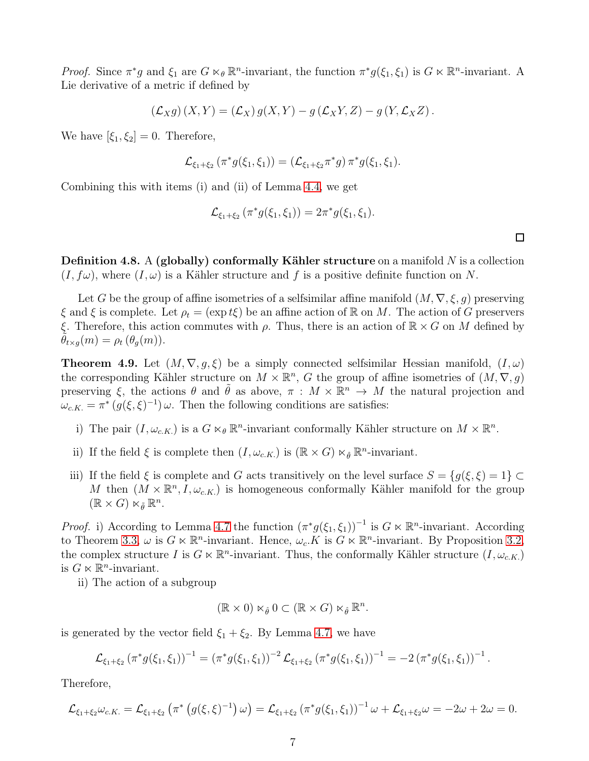*Proof.* Since  $\pi^*g$  and  $\xi_1$  are  $G \ltimes_{\theta} \mathbb{R}^n$ -invariant, the function  $\pi^*g(\xi_1, \xi_1)$  is  $G \ltimes \mathbb{R}^n$ -invariant. A Lie derivative of a metric if defined by

$$
(\mathcal{L}_X g)(X,Y) = (\mathcal{L}_X) g(X,Y) - g(\mathcal{L}_X Y, Z) - g(Y, \mathcal{L}_X Z).
$$

We have  $[\xi_1, \xi_2] = 0$ . Therefore,

$$
\mathcal{L}_{\xi_1+\xi_2}(\pi^*g(\xi_1,\xi_1))=(\mathcal{L}_{\xi_1+\xi_2}\pi^*g)\,\pi^*g(\xi_1,\xi_1).
$$

Combining this with items (i) and (ii) of Lemma [4.4,](#page-5-0) we get

$$
\mathcal{L}_{\xi_1+\xi_2}(\pi^*g(\xi_1,\xi_1))=2\pi^*g(\xi_1,\xi_1).
$$

**Definition 4.8.** A (globally) conformally Kähler structure on a manifold N is a collection  $(I, f\omega)$ , where  $(I, \omega)$  is a Kähler structure and f is a positive definite function on N.

Let G be the group of affine isometries of a selfsimilar affine manifold  $(M, \nabla, \xi, g)$  preserving  $\xi$  and  $\xi$  is complete. Let  $\rho_t = (\exp t\xi)$  be an affine action of R on M. The action of G preservers ξ. Therefore, this action commutes with  $ρ$ . Thus, there is an action of  $\mathbb{R} \times G$  on M defined by  $\theta_{t\times g}(m) = \rho_t(\theta_g(m)).$ 

<span id="page-6-0"></span>**Theorem 4.9.** Let  $(M, \nabla, g, \xi)$  be a simply connected selfsimilar Hessian manifold,  $(I, \omega)$ the corresponding Kähler structure on  $M \times \mathbb{R}^n$ , G the group of affine isometries of  $(M, \nabla, g)$ preserving  $\xi$ , the actions  $\theta$  and  $\tilde{\theta}$  as above,  $\pi : M \times \mathbb{R}^n \to M$  the natural projection and  $\omega_{c.K.} = \pi^* \left( g(\xi, \xi)^{-1} \right) \omega$ . Then the following conditions are satisfies:

- i) The pair  $(I, \omega_{c.K.})$  is a  $G \ltimes_{\theta} \mathbb{R}^n$ -invariant conformally Kähler structure on  $M \times \mathbb{R}^n$ .
- ii) If the field  $\xi$  is complete then  $(I, \omega_{c.K.})$  is  $(\mathbb{R} \times G) \ltimes_{\hat{\theta}} \mathbb{R}^n$ -invariant.
- iii) If the field  $\xi$  is complete and G acts transitively on the level surface  $S = \{g(\xi, \xi) = 1\} \subset$ M then  $(M \times \mathbb{R}^n, I, \omega_{c.K.})$  is homogeneous conformally Kähler manifold for the group  $(\mathbb{R} \times G) \ltimes_{\tilde{\theta}} \mathbb{R}^n$ .

*Proof.* i) According to Lemma [4.7](#page-5-1) the function  $(\pi^* g(\xi_1, \xi_1))^{-1}$  is  $G \ltimes \mathbb{R}^n$ -invariant. According to Theorem [3.3,](#page-4-1)  $\omega$  is  $G \ltimes \mathbb{R}^n$ -invariant. Hence,  $\omega_c$ . K is  $G \ltimes \mathbb{R}^n$ -invariant. By Proposition [3](#page-4-2).2, the complex structure I is  $G \ltimes \mathbb{R}^n$ -invariant. Thus, the conformally Kähler structure  $(I, \omega_{c.K.})$ is  $G \ltimes \mathbb{R}^n$ -invariant.

ii) The action of a subgroup

$$
(\mathbb{R} \times 0) \ltimes_{\hat{\theta}} 0 \subset (\mathbb{R} \times G) \ltimes_{\hat{\theta}} \mathbb{R}^n.
$$

is generated by the vector field  $\xi_1 + \xi_2$ . By Lemma [4.7,](#page-5-1) we have

$$
\mathcal{L}_{\xi_1+\xi_2}(\pi^*g(\xi_1,\xi_1))^{-1}=(\pi^*g(\xi_1,\xi_1))^{-2}\mathcal{L}_{\xi_1+\xi_2}(\pi^*g(\xi_1,\xi_1))^{-1}=-2(\pi^*g(\xi_1,\xi_1))^{-1}.
$$

Therefore,

$$
\mathcal{L}_{\xi_1+\xi_2}\omega_{c.K.} = \mathcal{L}_{\xi_1+\xi_2} \left( \pi^* \left( g(\xi,\xi)^{-1} \right) \omega \right) = \mathcal{L}_{\xi_1+\xi_2} \left( \pi^* g(\xi_1,\xi_1) \right)^{-1} \omega + \mathcal{L}_{\xi_1+\xi_2}\omega = -2\omega + 2\omega = 0.
$$

 $\Box$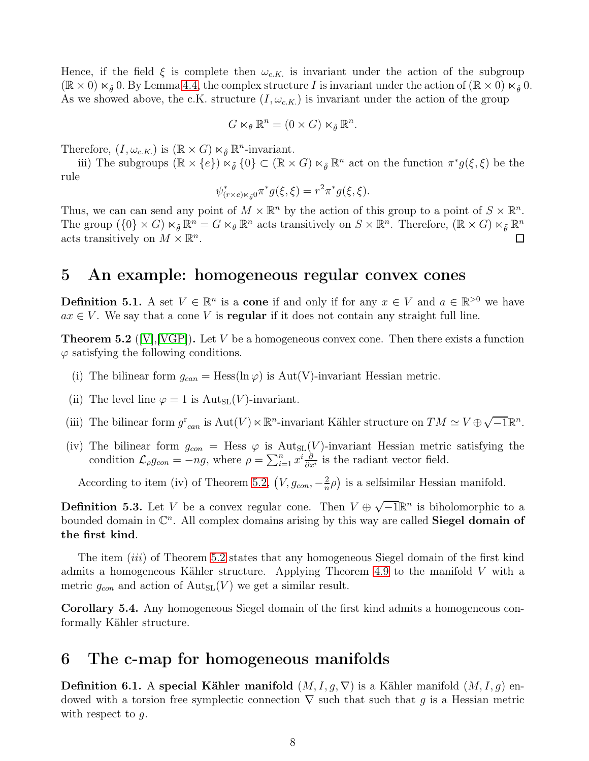Hence, if the field  $\xi$  is complete then  $\omega_{c,K}$  is invariant under the action of the subgroup  $(\mathbb{R} \times 0) \ltimes_{\hat{\theta}} 0$ . By Lemma [4.4,](#page-5-0) the complex structure I is invariant under the action of  $(\mathbb{R} \times 0) \ltimes_{\hat{\theta}} 0$ . As we showed above, the c.K. structure  $(I, \omega_{c,K})$  is invariant under the action of the group

$$
G \ltimes_{\theta} \mathbb{R}^n = (0 \times G) \ltimes_{\hat{\theta}} \mathbb{R}^n.
$$

Therefore,  $(I, \omega_{c.K.})$  is  $(\mathbb{R} \times G) \times_{\hat{\theta}} \mathbb{R}^n$ -invariant.

iii) The subgroups  $(\mathbb{R} \times \{e\}) \times_{\tilde{\theta}} \{0\} \subset (\mathbb{R} \times G) \times_{\hat{\theta}} \mathbb{R}^n$  act on the function  $\pi^* g(\xi, \xi)$  be the rule

$$
\psi^*_{(r \times e) \ltimes_{\tilde{\theta}} 0} \pi^* g(\xi, \xi) = r^2 \pi^* g(\xi, \xi).
$$

Thus, we can can send any point of  $M \times \mathbb{R}^n$  by the action of this group to a point of  $S \times \mathbb{R}^n$ . The group  $(\{0\} \times G) \times_{\tilde{\theta}} \mathbb{R}^n = G \ltimes_{\theta} \mathbb{R}^n$  acts transitively on  $S \times \mathbb{R}^n$ . Therefore,  $(\mathbb{R} \times G) \ltimes_{\tilde{\theta}} \mathbb{R}^n$ acts transitively on  $M \times \mathbb{R}^n$ .

## <span id="page-7-0"></span>5 An example: homogeneous regular convex cones

**Definition 5.1.** A set  $V \in \mathbb{R}^n$  is a **cone** if and only if for any  $x \in V$  and  $a \in \mathbb{R}^{>0}$  we have  $ax \in V$ . We say that a cone V is **regular** if it does not contain any straight full line.

<span id="page-7-2"></span>**Theorem 5.2** ( $|V|$ ,  $|VGP|$ ). Let V be a homogeneous convex cone. Then there exists a function  $\varphi$  satisfying the following conditions.

- (i) The bilinear form  $g_{can} = \text{Hess}(\ln \varphi)$  is  $\text{Aut}(V)$ -invariant Hessian metric.
- (ii) The level line  $\varphi = 1$  is  $\text{Aut}_{SL}(V)$ -invariant.
- (iii) The bilinear form  $g_{can}^r$  is  $Aut(V) \ltimes \mathbb{R}^n$ -invariant Kähler structure on  $TM \simeq V \oplus \sqrt{-1}\mathbb{R}^n$ .
- (iv) The bilinear form  $g_{con}$  = Hess  $\varphi$  is Aut<sub>SL</sub>(V)-invariant Hessian metric satisfying the condition  $\mathcal{L}_{\rho}g_{con} = -ng$ , where  $\rho = \sum_{i=1}^{n} x^{i} \frac{\partial}{\partial x^{i}}$  is the radiant vector field.

According to item (iv) of Theorem [5.2,](#page-7-2)  $(V, g_{con}, -\frac{2}{n})$  $\frac{2}{n}\rho$ ) is a selfsimilar Hessian manifold.

**Definition 5.3.** Let V be a convex regular cone. Then  $V \oplus \sqrt{-1}\mathbb{R}^n$  is biholomorphic to a bounded domain in  $\mathbb{C}^n$ . All complex domains arising by this way are called **Siegel domain of** the first kind.

The item *(iii)* of Theorem [5.2](#page-7-2) states that any homogeneous Siegel domain of the first kind admits a homogeneous Kähler structure. Applying Theorem [4.9](#page-6-0) to the manifold  $V$  with a metric  $g_{con}$  and action of  $\text{Aut}_{SL}(V)$  we get a similar result.

Corollary 5.4. Any homogeneous Siegel domain of the first kind admits a homogeneous conformally Kähler structure.

## <span id="page-7-1"></span>6 The c-map for homogeneous manifolds

**Definition 6.1.** A special Kähler manifold  $(M, I, g, \nabla)$  is a Kähler manifold  $(M, I, g)$  endowed with a torsion free symplectic connection  $\nabla$  such that g is a Hessian metric with respect to  $q$ .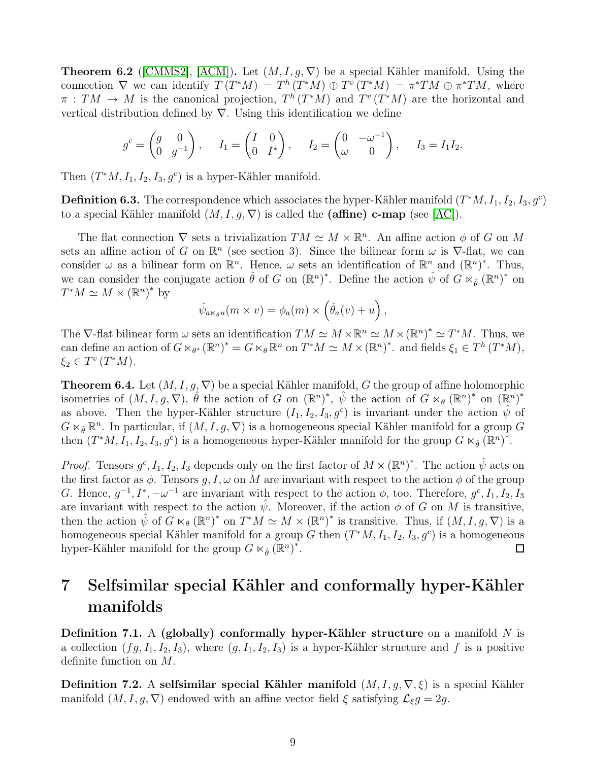**Theorem 6.2** ([\[CMMS2\]](#page-9-6), [\[ACM\]](#page-9-7)). Let  $(M, I, q, \nabla)$  be a special Kähler manifold. Using the connection  $\nabla$  we can identify  $T(T^*M) = T^h(T^*M) \oplus T^v(T^*M) = \pi^*TM \oplus \pi^*TM$ , where  $\pi : TM \to M$  is the canonical projection,  $T^h(T^*M)$  and  $T^v(T^*M)$  are the horizontal and vertical distribution defined by  $\nabla$ . Using this identification we define

$$
g^{c} = \begin{pmatrix} g & 0 \\ 0 & g^{-1} \end{pmatrix}, \quad I_1 = \begin{pmatrix} I & 0 \\ 0 & I^* \end{pmatrix}, \quad I_2 = \begin{pmatrix} 0 & -\omega^{-1} \\ \omega & 0 \end{pmatrix}, \quad I_3 = I_1 I_2.
$$

Then  $(T^*M, I_1, I_2, I_3, g^c)$  is a hyper-Kähler manifold.

**Definition 6.3.** The correspondence which associates the hyper-Kähler manifold  $(T^*M, I_1, I_2, I_3, g^c)$ to a special Kähler manifold  $(M, I, g, \nabla)$  is called the (affine) c-map (see [\[AC\]](#page-9-3)).

The flat connection  $\nabla$  sets a trivialization  $TM \simeq M \times \mathbb{R}^n$ . An affine action  $\phi$  of G on M sets an affine action of G on  $\mathbb{R}^n$  (see section 3). Since the bilinear form  $\omega$  is  $\nabla$ -flat, we can consider  $\omega$  as a bilinear form on  $\mathbb{R}^n$ . Hence,  $\omega$  sets an identification of  $\mathbb{R}^n$  and  $(\mathbb{R}^n)^*$ . Thus, we can consider the conjugate action  $\hat{\theta}$  of G on  $(\mathbb{R}^n)^*$ . Define the action  $\hat{\psi}$  of  $G \ltimes_{\hat{\theta}} (\mathbb{R}^n)^*$  on  $T^*M \simeq M \times (\mathbb{R}^n)^*$  by

$$
\hat{\psi}_{a\ltimes_{\theta}u}(m\times v)=\phi_a(m)\times(\hat{\theta}_a(v)+u),
$$

The  $\nabla$ -flat bilinear form  $\omega$  sets an identification  $TM \simeq M \times \mathbb{R}^n \simeq M \times (\mathbb{R}^n)^* \simeq T^*M$ . Thus, we can define an action of  $G \ltimes_{\theta^*} (\mathbb{R}^n)^* = G \ltimes_{\theta} \mathbb{R}^n$  on  $T^*M \simeq M \times (\mathbb{R}^n)^*$ . and fields  $\xi_1 \in T^h(T^*M)$ ,  $\xi_2 \in T^v(T^*M).$ 

<span id="page-8-1"></span>**Theorem 6.4.** Let  $(M, I, g, \nabla)$  be a special Kähler manifold, G the group of affine holomorphic isometries of  $(M, I, g, \nabla), \hat{\theta}$  the action of G on  $(\mathbb{R}^n)^*, \hat{\psi}$  the action of  $G \ltimes_{\theta} (\mathbb{R}^n)^*$  on  $(\mathbb{R}^n)^*$ as above. Then the hyper-Kähler structure  $(I_1, I_2, I_3, g^c)$  is invariant under the action  $\hat{\psi}$  of  $G \ltimes_{\hat{\theta}} \mathbb{R}^n$ . In particular, if  $(M, I, g, \nabla)$  is a homogeneous special Kähler manifold for a group G then  $(T^*M, I_1, I_2, I_3, g^c)$  is a homogeneous hyper-Kähler manifold for the group  $G \ltimes_{\hat{\theta}} (\mathbb{R}^n)^*$ .

*Proof.* Tensors  $g^c, I_1, I_2, I_3$  depends only on the first factor of  $M \times (\mathbb{R}^n)^*$ . The action  $\hat{\psi}$  acts on the first factor as  $\phi$ . Tensors g, I,  $\omega$  on M are invariant with respect to the action  $\phi$  of the group G. Hence,  $g^{-1}, I^*, -\omega^{-1}$  are invariant with respect to the action  $\phi$ , too. Therefore,  $g^c, I_1, I_2, I_3$ are invariant with respect to the action  $\hat{\psi}$ . Moreover, if the action  $\phi$  of G on M is transitive, then the action  $\hat{\psi}$  of  $G \ltimes_{\theta} (\mathbb{R}^n)^*$  on  $T^*M \simeq M \times (\mathbb{R}^n)^*$  is transitive. Thus, if  $(M, I, g, \nabla)$  is a homogeneous special Kähler manifold for a group G then  $(T^*M, I_1, I_2, I_3, g^c)$  is a homogeneous hyper-Kähler manifold for the group  $G \ltimes_{\hat{\theta}} (\mathbb{R}^n)^*$ .  $\Box$ 

# <span id="page-8-0"></span>7 Selfsimilar special Kähler and conformally hyper-Kähler manifolds

Definition 7.1. A (globally) conformally hyper-Kähler structure on a manifold  $N$  is a collection  $(fg, I_1, I_2, I_3)$ , where  $(g, I_1, I_2, I_3)$  is a hyper-Kähler structure and f is a positive definite function on M.

**Definition 7.2.** A selfsimilar special Kähler manifold  $(M, I, g, \nabla, \xi)$  is a special Kähler manifold  $(M, I, g, \nabla)$  endowed with an affine vector field  $\xi$  satisfying  $\mathcal{L}_{\xi}g = 2g$ .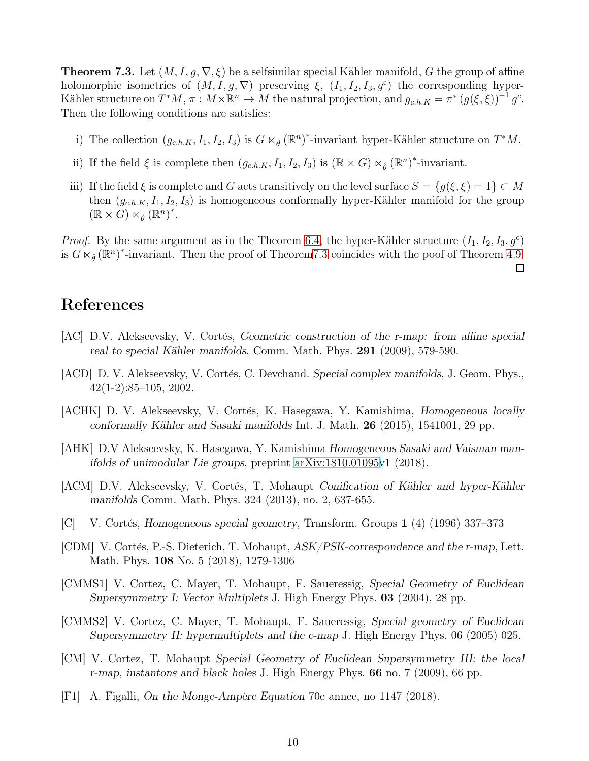<span id="page-9-8"></span>**Theorem 7.3.** Let  $(M, I, g, \nabla, \xi)$  be a selfsimilar special Kähler manifold, G the group of affine holomorphic isometries of  $(M, I, g, \nabla)$  preserving  $\xi$ ,  $(I_1, I_2, I_3, g^c)$  the corresponding hyper-Kähler structure on  $T^*M$ ,  $\pi: M \times \mathbb{R}^n \to M$  the natural projection, and  $g_{c,h,K} = \pi^* (g(\xi, \xi))^{-1} g^c$ . Then the following conditions are satisfies:

- i) The collection  $(g_{c,h,K}, I_1, I_2, I_3)$  is  $G \ltimes_{\hat{\theta}} (\mathbb{R}^n)^*$ -invariant hyper-Kähler structure on  $T^*M$ .
- ii) If the field  $\xi$  is complete then  $(g_{c.h.K}, I_1, I_2, I_3)$  is  $(\mathbb{R} \times G) \ltimes_{\hat{\theta}} (\mathbb{R}^n)^*$ -invariant.
- iii) If the field  $\xi$  is complete and G acts transitively on the level surface  $S = \{g(\xi, \xi) = 1\} \subset M$ then  $(g_{c,h,K}, I_1, I_2, I_3)$  is homogeneous conformally hyper-Kähler manifold for the group  $(\mathbb{R} \times G) \ltimes_{\tilde{\theta}} (\mathbb{R}^n)^*$ .

*Proof.* By the same argument as in the Theorem [6.4,](#page-8-1) the hyper-Kähler structure  $(I_1, I_2, I_3, g^c)$ is  $G \ltimes_{\hat{\theta}} (\mathbb{R}^n)^*$ -invariant. Then the proof of Theorem 7.3 coincides with the poof of Theorem [4.9.](#page-6-0)

 $\Box$ 

## References

- <span id="page-9-3"></span> $|AC|$  D.V. Alekseevsky, V. Cortés, Geometric construction of the r-map: from affine special real to special Kähler manifolds, Comm. Math. Phys. 291 (2009), 579-590.
- <span id="page-9-5"></span>[ACD] D. V. Alekseevsky, V. Cortés, C. Devchand. Special complex manifolds, J. Geom. Phys., 42(1-2):85–105, 2002.
- [ACHK] D. V. Alekseevsky, V. Cortés, K. Hasegawa, Y. Kamishima, Homogeneous locally conformally Kähler and Sasaki manifolds Int. J. Math.  $26$  (2015), 1541001, 29 pp.
- [AHK] D.V Alekseevsky, K. Hasegawa, Y. Kamishima Homogeneous Sasaki and Vaisman manifolds of unimodular Lie groups, preprint [arXiv:1810.01095v](http://arxiv.org/abs/1810.01095)1 (2018).
- <span id="page-9-7"></span>[ACM] D.V. Alekseevsky, V. Cortés, T. Mohaupt Conification of Kähler and hyper-Kähler manifolds Comm. Math. Phys. 324 (2013), no. 2, 637-655.
- <span id="page-9-0"></span>[C] V. Cortés, Homogeneous special geometry, Transform. Groups 1 (4) (1996) 337–373
- [CDM] V. Cortés, P.-S. Dieterich, T. Mohaupt, ASK/PSK-correspondence and the r-map, Lett. Math. Phys. 108 No. 5 (2018), 1279-1306
- <span id="page-9-1"></span>[CMMS1] V. Cortez, C. Mayer, T. Mohaupt, F. Saueressig, Special Geometry of Euclidean Supersymmetry I: Vector Multiplets J. High Energy Phys. 03 (2004), 28 pp.
- <span id="page-9-6"></span>[CMMS2] V. Cortez, C. Mayer, T. Mohaupt, F. Saueressig, Special geometry of Euclidean Supersymmetry II: hypermultiplets and the c-map J. High Energy Phys. 06 (2005) 025.
- <span id="page-9-2"></span>[CM] V. Cortez, T. Mohaupt Special Geometry of Euclidean Supersymmetry III: the local r-map, instantons and black holes J. High Energy Phys. 66 no. 7 (2009), 66 pp.
- <span id="page-9-4"></span>[F1] A. Figalli, On the Monge-Ampère Equation 70e annee, no 1147 (2018).